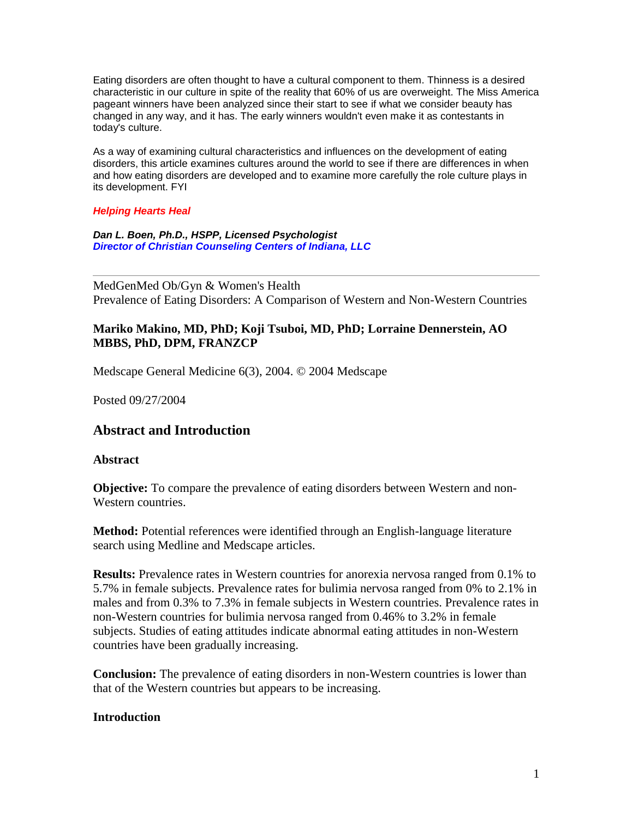Eating disorders are often thought to have a cultural component to them. Thinness is a desired characteristic in our culture in spite of the reality that 60% of us are overweight. The Miss America pageant winners have been analyzed since their start to see if what we consider beauty has changed in any way, and it has. The early winners wouldn't even make it as contestants in today's culture.

As a way of examining cultural characteristics and influences on the development of eating disorders, this article examines cultures around the world to see if there are differences in when and how eating disorders are developed and to examine more carefully the role culture plays in its development. FYI

#### *Helping Hearts Heal*

*Dan L. Boen, Ph.D., HSPP, Licensed Psychologist Director of Christian Counseling Centers of Indiana, LLC*

MedGenMed Ob/Gyn & Women's Health Prevalence of Eating Disorders: A Comparison of Western and Non-Western Countries

#### **Mariko Makino, MD, PhD; Koji Tsuboi, MD, PhD; Lorraine Dennerstein, AO MBBS, PhD, DPM, FRANZCP**

Medscape General Medicine 6(3), 2004. © 2004 Medscape

Posted 09/27/2004

## **Abstract and Introduction**

#### **Abstract**

**Objective:** To compare the prevalence of eating disorders between Western and non-Western countries.

**Method:** Potential references were identified through an English-language literature search using Medline and Medscape articles.

**Results:** Prevalence rates in Western countries for anorexia nervosa ranged from 0.1% to 5.7% in female subjects. Prevalence rates for bulimia nervosa ranged from 0% to 2.1% in males and from 0.3% to 7.3% in female subjects in Western countries. Prevalence rates in non-Western countries for bulimia nervosa ranged from 0.46% to 3.2% in female subjects. Studies of eating attitudes indicate abnormal eating attitudes in non-Western countries have been gradually increasing.

**Conclusion:** The prevalence of eating disorders in non-Western countries is lower than that of the Western countries but appears to be increasing.

#### **Introduction**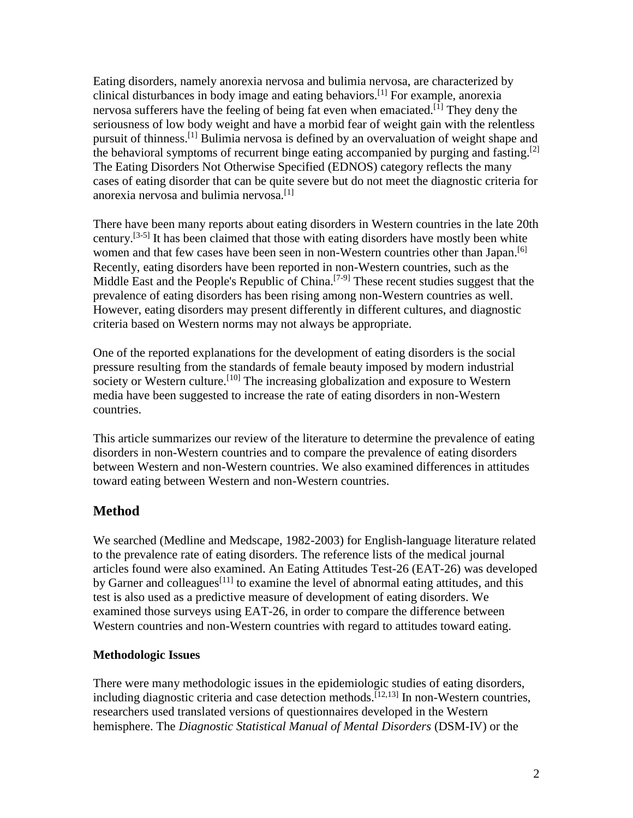Eating disorders, namely anorexia nervosa and bulimia nervosa, are characterized by clinical disturbances in body image and eating behaviors.[1] For example, anorexia nervosa sufferers have the feeling of being fat even when emaciated.<sup>[1]</sup> They deny the seriousness of low body weight and have a morbid fear of weight gain with the relentless pursuit of thinness.[1] Bulimia nervosa is defined by an overvaluation of weight shape and the behavioral symptoms of recurrent binge eating accompanied by purging and fasting.<sup>[2]</sup> The Eating Disorders Not Otherwise Specified (EDNOS) category reflects the many cases of eating disorder that can be quite severe but do not meet the diagnostic criteria for anorexia nervosa and bulimia nervosa.<sup>[1]</sup>

There have been many reports about eating disorders in Western countries in the late 20th century.<sup>[3-5]</sup> It has been claimed that those with eating disorders have mostly been white women and that few cases have been seen in non-Western countries other than Japan.<sup>[6]</sup> Recently, eating disorders have been reported in non-Western countries, such as the Middle East and the People's Republic of China.<sup>[7-9]</sup> These recent studies suggest that the prevalence of eating disorders has been rising among non-Western countries as well. However, eating disorders may present differently in different cultures, and diagnostic criteria based on Western norms may not always be appropriate.

One of the reported explanations for the development of eating disorders is the social pressure resulting from the standards of female beauty imposed by modern industrial society or Western culture.<sup>[10]</sup> The increasing globalization and exposure to Western media have been suggested to increase the rate of eating disorders in non-Western countries.

This article summarizes our review of the literature to determine the prevalence of eating disorders in non-Western countries and to compare the prevalence of eating disorders between Western and non-Western countries. We also examined differences in attitudes toward eating between Western and non-Western countries.

# **Method**

We searched (Medline and Medscape, 1982-2003) for English-language literature related to the prevalence rate of eating disorders. The reference lists of the medical journal articles found were also examined. An Eating Attitudes Test-26 (EAT-26) was developed by Garner and colleagues<sup>[11]</sup> to examine the level of abnormal eating attitudes, and this test is also used as a predictive measure of development of eating disorders. We examined those surveys using EAT-26, in order to compare the difference between Western countries and non-Western countries with regard to attitudes toward eating.

### **Methodologic Issues**

There were many methodologic issues in the epidemiologic studies of eating disorders, including diagnostic criteria and case detection methods.<sup>[12,13]</sup> In non-Western countries, researchers used translated versions of questionnaires developed in the Western hemisphere. The *Diagnostic Statistical Manual of Mental Disorders* (DSM-IV) or the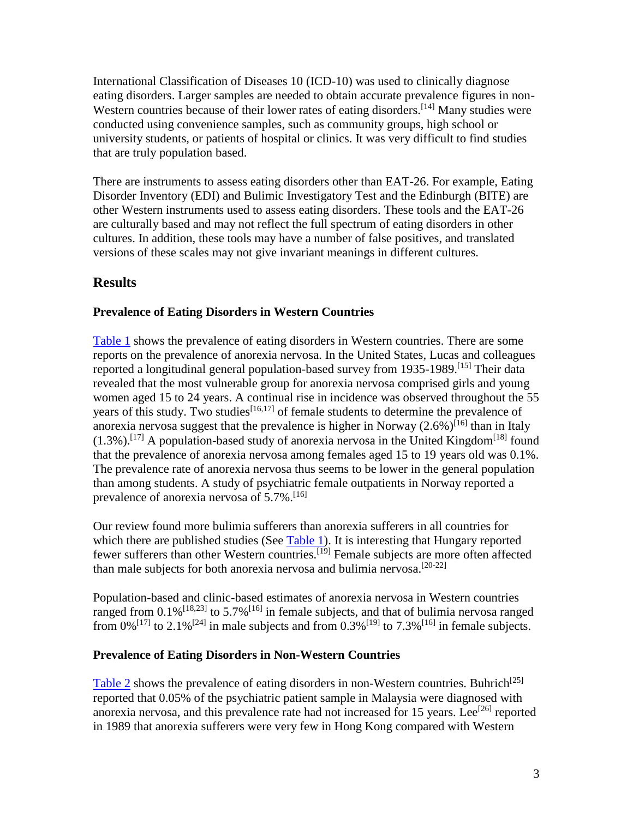International Classification of Diseases 10 (ICD-10) was used to clinically diagnose eating disorders. Larger samples are needed to obtain accurate prevalence figures in non-Western countries because of their lower rates of eating disorders.<sup>[14]</sup> Many studies were conducted using convenience samples, such as community groups, high school or university students, or patients of hospital or clinics. It was very difficult to find studies that are truly population based.

There are instruments to assess eating disorders other than EAT-26. For example, Eating Disorder Inventory (EDI) and Bulimic Investigatory Test and the Edinburgh (BITE) are other Western instruments used to assess eating disorders. These tools and the EAT-26 are culturally based and may not reflect the full spectrum of eating disorders in other cultures. In addition, these tools may have a number of false positives, and translated versions of these scales may not give invariant meanings in different cultures.

# **Results**

### **Prevalence of Eating Disorders in Western Countries**

[Table 1](http://www.medscape.com/content/2004/00/48/74/487413/487413_tab.html#Table 1.) shows the prevalence of eating disorders in Western countries. There are some reports on the prevalence of anorexia nervosa. In the United States, Lucas and colleagues reported a longitudinal general population-based survey from 1935-1989.<sup>[15]</sup> Their data revealed that the most vulnerable group for anorexia nervosa comprised girls and young women aged 15 to 24 years. A continual rise in incidence was observed throughout the 55 years of this study. Two studies<sup>[16,17]</sup> of female students to determine the prevalence of anorexia nervosa suggest that the prevalence is higher in Norway  $(2.6\%)$ <sup>[16]</sup> than in Italy  $(1.3\%)$ .<sup>[17]</sup> A population-based study of anorexia nervosa in the United Kingdom<sup>[18]</sup> found that the prevalence of anorexia nervosa among females aged 15 to 19 years old was 0.1%. The prevalence rate of anorexia nervosa thus seems to be lower in the general population than among students. A study of psychiatric female outpatients in Norway reported a prevalence of anorexia nervosa of  $5.7\%$ .<sup>[16]</sup>

Our review found more bulimia sufferers than anorexia sufferers in all countries for which there are published studies (See  $Table 1$ ). It is interesting that Hungary reported fewer sufferers than other Western countries.<sup>[19]</sup> Female subjects are more often affected than male subjects for both anorexia nervosa and bulimia nervosa.<sup>[20-22]</sup>

Population-based and clinic-based estimates of anorexia nervosa in Western countries ranged from  $0.1\%$ <sup>[18,23]</sup> to 5.7%<sup>[16]</sup> in female subjects, and that of bulimia nervosa ranged from 0%<sup>[17]</sup> to 2.1%<sup>[24]</sup> in male subjects and from 0.3%<sup>[19]</sup> to 7.3%<sup>[16]</sup> in female subjects.

#### **Prevalence of Eating Disorders in Non-Western Countries**

[Table 2](http://www.medscape.com/content/2004/00/48/74/487413/487413_tab.html#Table 2.) shows the prevalence of eating disorders in non-Western countries. Buhrich<sup>[25]</sup> reported that 0.05% of the psychiatric patient sample in Malaysia were diagnosed with anorexia nervosa, and this prevalence rate had not increased for 15 years. Lee<sup>[26]</sup> reported in 1989 that anorexia sufferers were very few in Hong Kong compared with Western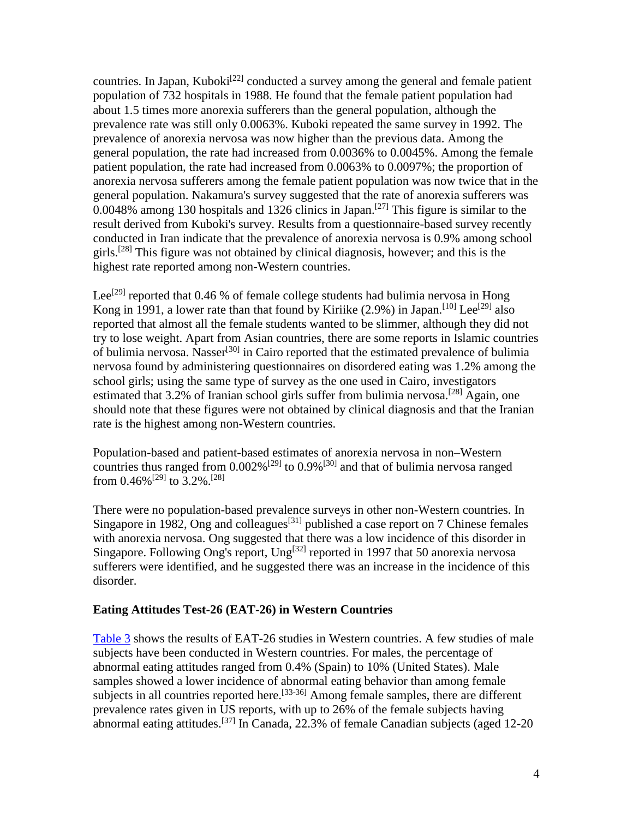countries. In Japan, Kuboki<sup>[22]</sup> conducted a survey among the general and female patient population of 732 hospitals in 1988. He found that the female patient population had about 1.5 times more anorexia sufferers than the general population, although the prevalence rate was still only 0.0063%. Kuboki repeated the same survey in 1992. The prevalence of anorexia nervosa was now higher than the previous data. Among the general population, the rate had increased from 0.0036% to 0.0045%. Among the female patient population, the rate had increased from 0.0063% to 0.0097%; the proportion of anorexia nervosa sufferers among the female patient population was now twice that in the general population. Nakamura's survey suggested that the rate of anorexia sufferers was  $0.0048\%$  among 130 hospitals and 1326 clinics in Japan.<sup>[27]</sup> This figure is similar to the result derived from Kuboki's survey. Results from a questionnaire-based survey recently conducted in Iran indicate that the prevalence of anorexia nervosa is 0.9% among school girls.<sup>[28]</sup> This figure was not obtained by clinical diagnosis, however; and this is the highest rate reported among non-Western countries.

Lee<sup>[29]</sup> reported that 0.46 % of female college students had bulimia nervosa in Hong Kong in 1991, a lower rate than that found by Kiriike  $(2.9\%)$  in Japan.<sup>[10]</sup> Lee<sup>[29]</sup> also reported that almost all the female students wanted to be slimmer, although they did not try to lose weight. Apart from Asian countries, there are some reports in Islamic countries of bulimia nervosa. Nasser<sup>[30]</sup> in Cairo reported that the estimated prevalence of bulimia nervosa found by administering questionnaires on disordered eating was 1.2% among the school girls; using the same type of survey as the one used in Cairo, investigators estimated that 3.2% of Iranian school girls suffer from bulimia nervosa.<sup>[28]</sup> Again, one should note that these figures were not obtained by clinical diagnosis and that the Iranian rate is the highest among non-Western countries.

Population-based and patient-based estimates of anorexia nervosa in non–Western countries thus ranged from  $0.002\%$ <sup>[29]</sup> to  $0.9\%$ <sup>[30]</sup> and that of bulimia nervosa ranged from  $0.46\%^{[29]}$  to  $3.2\%$ .<sup>[28]</sup>

There were no population-based prevalence surveys in other non-Western countries. In Singapore in 1982, Ong and colleagues<sup>[31]</sup> published a case report on 7 Chinese females with anorexia nervosa. Ong suggested that there was a low incidence of this disorder in Singapore. Following Ong's report, Ung<sup>[32]</sup> reported in 1997 that 50 anorexia nervosa sufferers were identified, and he suggested there was an increase in the incidence of this disorder.

#### **Eating Attitudes Test-26 (EAT-26) in Western Countries**

[Table 3](http://www.medscape.com/content/2004/00/48/74/487413/487413_tab.html#Table 3.) shows the results of EAT-26 studies in Western countries. A few studies of male subjects have been conducted in Western countries. For males, the percentage of abnormal eating attitudes ranged from 0.4% (Spain) to 10% (United States). Male samples showed a lower incidence of abnormal eating behavior than among female subjects in all countries reported here.<sup>[33-36]</sup> Among female samples, there are different prevalence rates given in US reports, with up to 26% of the female subjects having abnormal eating attitudes.<sup>[37]</sup> In Canada, 22.3% of female Canadian subjects (aged 12-20)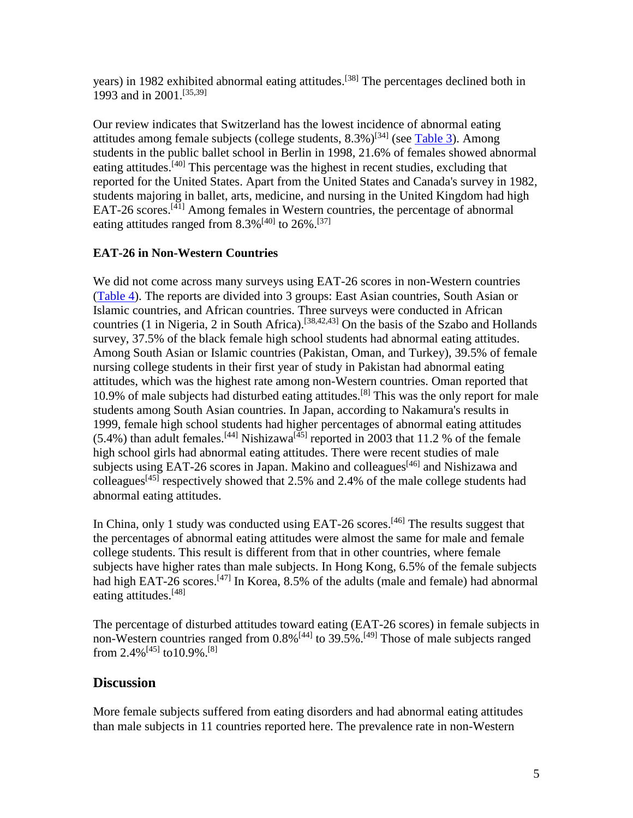years) in 1982 exhibited abnormal eating attitudes.<sup>[38]</sup> The percentages declined both in 1993 and in 2001.[35,39]

Our review indicates that Switzerland has the lowest incidence of abnormal eating attitudes among female subjects (college students,  $8.3\%$ )<sup>[34]</sup> (see [Table 3\)](http://www.medscape.com/content/2004/00/48/74/487413/487413_tab.html#Table 3.). Among students in the public ballet school in Berlin in 1998, 21.6% of females showed abnormal eating attitudes.<sup>[40]</sup> This percentage was the highest in recent studies, excluding that reported for the United States. Apart from the United States and Canada's survey in 1982, students majoring in ballet, arts, medicine, and nursing in the United Kingdom had high EAT-26 scores.<sup>[41]</sup> Among females in Western countries, the percentage of abnormal eating attitudes ranged from  $8.3\%$ <sup>[40]</sup> to 26%.<sup>[37]</sup>

## **EAT-26 in Non-Western Countries**

We did not come across many surveys using EAT-26 scores in non-Western countries [\(Table 4\)](http://www.medscape.com/content/2004/00/48/74/487413/487413_tab.html#Table 4.). The reports are divided into 3 groups: East Asian countries, South Asian or Islamic countries, and African countries. Three surveys were conducted in African countries (1 in Nigeria, 2 in South Africa).<sup>[38,42,43]</sup> On the basis of the Szabo and Hollands survey, 37.5% of the black female high school students had abnormal eating attitudes. Among South Asian or Islamic countries (Pakistan, Oman, and Turkey), 39.5% of female nursing college students in their first year of study in Pakistan had abnormal eating attitudes, which was the highest rate among non-Western countries. Oman reported that 10.9% of male subjects had disturbed eating attitudes.[8] This was the only report for male students among South Asian countries. In Japan, according to Nakamura's results in 1999, female high school students had higher percentages of abnormal eating attitudes  $(5.4\%)$  than adult females.<sup>[44]</sup> Nishizawa<sup>[45]</sup> reported in 2003 that 11.2 % of the female high school girls had abnormal eating attitudes. There were recent studies of male subjects using EAT-26 scores in Japan. Makino and colleagues<sup>[46]</sup> and Nishizawa and colleagues<sup>[45]</sup> respectively showed that 2.5% and 2.4% of the male college students had abnormal eating attitudes.

In China, only 1 study was conducted using EAT-26 scores.<sup>[46]</sup> The results suggest that the percentages of abnormal eating attitudes were almost the same for male and female college students. This result is different from that in other countries, where female subjects have higher rates than male subjects. In Hong Kong, 6.5% of the female subjects had high EAT-26 scores.<sup>[47]</sup> In Korea, 8.5% of the adults (male and female) had abnormal eating attitudes.<sup>[48]</sup>

The percentage of disturbed attitudes toward eating (EAT-26 scores) in female subjects in non-Western countries ranged from  $0.8\%$ <sup>[44]</sup> to  $39.5\%$ .<sup>[49]</sup> Those of male subjects ranged from 2.4%<sup>[45]</sup> to10.9%.<sup>[8]</sup>

## **Discussion**

More female subjects suffered from eating disorders and had abnormal eating attitudes than male subjects in 11 countries reported here. The prevalence rate in non-Western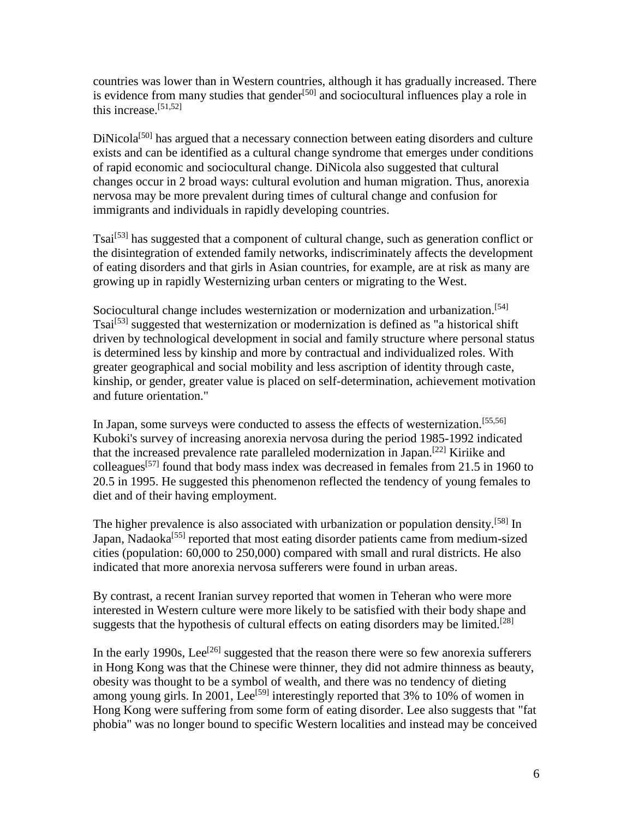countries was lower than in Western countries, although it has gradually increased. There is evidence from many studies that gender<sup>[50]</sup> and sociocultural influences play a role in this increase.[51,52]

 $DiNicola<sup>[50]</sup>$  has argued that a necessary connection between eating disorders and culture exists and can be identified as a cultural change syndrome that emerges under conditions of rapid economic and sociocultural change. DiNicola also suggested that cultural changes occur in 2 broad ways: cultural evolution and human migration. Thus, anorexia nervosa may be more prevalent during times of cultural change and confusion for immigrants and individuals in rapidly developing countries.

Tsai<sup>[53]</sup> has suggested that a component of cultural change, such as generation conflict or the disintegration of extended family networks, indiscriminately affects the development of eating disorders and that girls in Asian countries, for example, are at risk as many are growing up in rapidly Westernizing urban centers or migrating to the West.

Sociocultural change includes westernization or modernization and urbanization.<sup>[54]</sup> Tsai<sup>[53]</sup> suggested that westernization or modernization is defined as "a historical shift driven by technological development in social and family structure where personal status is determined less by kinship and more by contractual and individualized roles. With greater geographical and social mobility and less ascription of identity through caste, kinship, or gender, greater value is placed on self-determination, achievement motivation and future orientation."

In Japan, some surveys were conducted to assess the effects of westernization.<sup>[55,56]</sup> Kuboki's survey of increasing anorexia nervosa during the period 1985-1992 indicated that the increased prevalence rate paralleled modernization in Japan.[22] Kiriike and colleagues<sup>[57]</sup> found that body mass index was decreased in females from 21.5 in 1960 to 20.5 in 1995. He suggested this phenomenon reflected the tendency of young females to diet and of their having employment.

The higher prevalence is also associated with urbanization or population density.<sup>[58]</sup> In Japan, Nadaoka<sup>[55]</sup> reported that most eating disorder patients came from medium-sized cities (population: 60,000 to 250,000) compared with small and rural districts. He also indicated that more anorexia nervosa sufferers were found in urban areas.

By contrast, a recent Iranian survey reported that women in Teheran who were more interested in Western culture were more likely to be satisfied with their body shape and suggests that the hypothesis of cultural effects on eating disorders may be limited.<sup>[28]</sup>

In the early 1990s, Lee<sup>[26]</sup> suggested that the reason there were so few anorexia sufferers in Hong Kong was that the Chinese were thinner, they did not admire thinness as beauty, obesity was thought to be a symbol of wealth, and there was no tendency of dieting among young girls. In 2001, Lee<sup>[59]</sup> interestingly reported that 3% to 10% of women in Hong Kong were suffering from some form of eating disorder. Lee also suggests that "fat phobia" was no longer bound to specific Western localities and instead may be conceived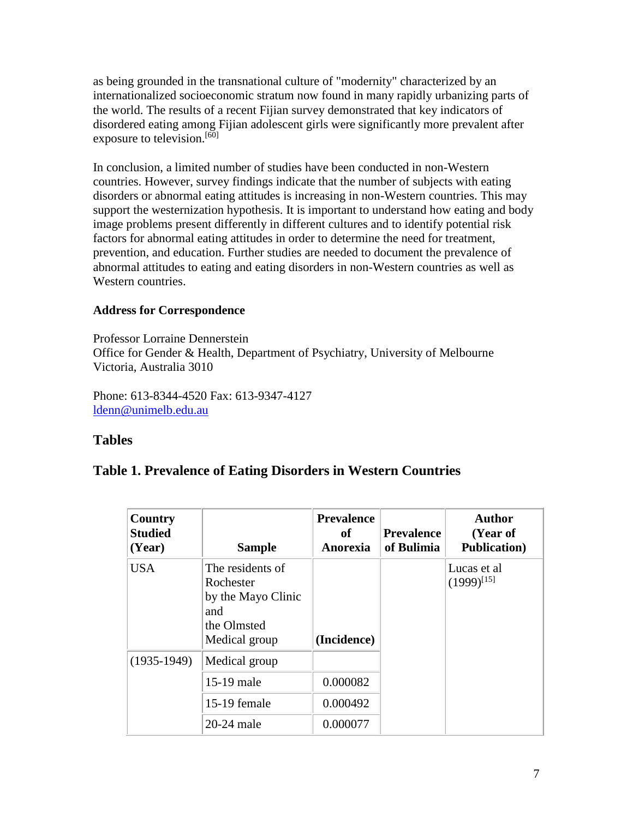as being grounded in the transnational culture of "modernity" characterized by an internationalized socioeconomic stratum now found in many rapidly urbanizing parts of the world. The results of a recent Fijian survey demonstrated that key indicators of disordered eating among Fijian adolescent girls were significantly more prevalent after exposure to television.<sup>[60]</sup>

In conclusion, a limited number of studies have been conducted in non-Western countries. However, survey findings indicate that the number of subjects with eating disorders or abnormal eating attitudes is increasing in non-Western countries. This may support the westernization hypothesis. It is important to understand how eating and body image problems present differently in different cultures and to identify potential risk factors for abnormal eating attitudes in order to determine the need for treatment, prevention, and education. Further studies are needed to document the prevalence of abnormal attitudes to eating and eating disorders in non-Western countries as well as Western countries.

## **Address for Correspondence**

Professor Lorraine Dennerstein Office for Gender & Health, Department of Psychiatry, University of Melbourne Victoria, Australia 3010

Phone: 613-8344-4520 Fax: 613-9347-4127 [ldenn@unimelb.edu.au](mailto:ldenn@unimelb.edu.au)

# **Tables**

# **Table 1. Prevalence of Eating Disorders in Western Countries**

| Country<br><b>Studied</b><br>(Year) | <b>Sample</b>                                                                              | <b>Prevalence</b><br>of<br>Anorexia | <b>Prevalence</b><br>of Bulimia | <b>Author</b><br>(Year of<br><b>Publication</b> ) |
|-------------------------------------|--------------------------------------------------------------------------------------------|-------------------------------------|---------------------------------|---------------------------------------------------|
| <b>USA</b>                          | The residents of<br>Rochester<br>by the Mayo Clinic<br>and<br>the Olmsted<br>Medical group | (Incidence)                         |                                 | Lucas et al<br>$(1999)^{[15]}$                    |
| $(1935-1949)$                       | Medical group                                                                              |                                     |                                 |                                                   |
|                                     | 15-19 male                                                                                 | 0.000082                            |                                 |                                                   |
|                                     | 15-19 female                                                                               | 0.000492                            |                                 |                                                   |
|                                     | 20-24 male                                                                                 | 0.000077                            |                                 |                                                   |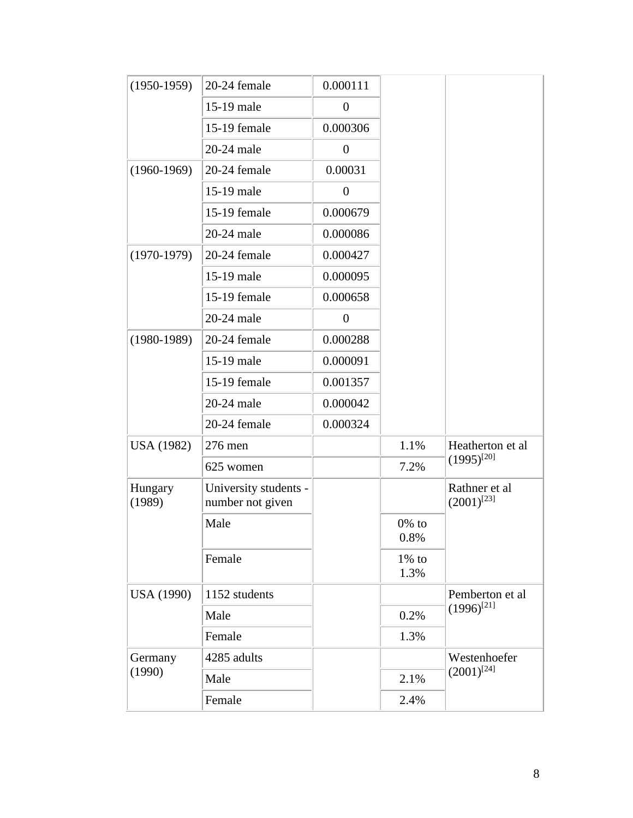| $(1950-1959)$     | 20-24 female                              | 0.000111         |                     |                                  |
|-------------------|-------------------------------------------|------------------|---------------------|----------------------------------|
|                   | 15-19 male                                | $\boldsymbol{0}$ |                     |                                  |
|                   | 15-19 female                              | 0.000306         |                     |                                  |
|                   | 20-24 male                                | $\boldsymbol{0}$ |                     |                                  |
| $(1960-1969)$     | 20-24 female                              | 0.00031          |                     |                                  |
|                   | 15-19 male                                | $\boldsymbol{0}$ |                     |                                  |
|                   | 15-19 female                              | 0.000679         |                     |                                  |
|                   | 20-24 male                                | 0.000086         |                     |                                  |
| $(1970-1979)$     | 20-24 female                              | 0.000427         |                     |                                  |
|                   | 15-19 male                                | 0.000095         |                     |                                  |
|                   | 15-19 female                              | 0.000658         |                     |                                  |
|                   | 20-24 male                                | $\boldsymbol{0}$ |                     |                                  |
| $(1980-1989)$     | 20-24 female                              | 0.000288         |                     |                                  |
|                   | 15-19 male                                | 0.000091         |                     |                                  |
|                   | 15-19 female                              | 0.001357         |                     |                                  |
|                   | 20-24 male                                | 0.000042         |                     |                                  |
|                   | 20-24 female                              | 0.000324         |                     |                                  |
| USA (1982)        | 276 men                                   |                  | 1.1%                | Heatherton et al                 |
|                   | 625 women                                 |                  | 7.2%                | $(1995)^{[20]}$                  |
| Hungary<br>(1989) | University students -<br>number not given |                  |                     | Rathner et al<br>$(2001)^{[23]}$ |
|                   | Male                                      |                  | $0\%$ to<br>$0.8\%$ |                                  |
|                   | Female                                    |                  | $1\%$ to<br>1.3%    |                                  |
| <b>USA (1990)</b> | 1152 students                             |                  |                     | Pemberton et al                  |
|                   | Male                                      |                  | 0.2%                | $(1996)^{[21]}$                  |
|                   | Female                                    |                  | 1.3%                |                                  |
| Germany<br>(1990) | 4285 adults                               |                  |                     | Westenhoefer                     |
|                   | Male                                      |                  | 2.1%                | $(2001)^{[24]}$                  |
|                   | Female                                    |                  | 2.4%                |                                  |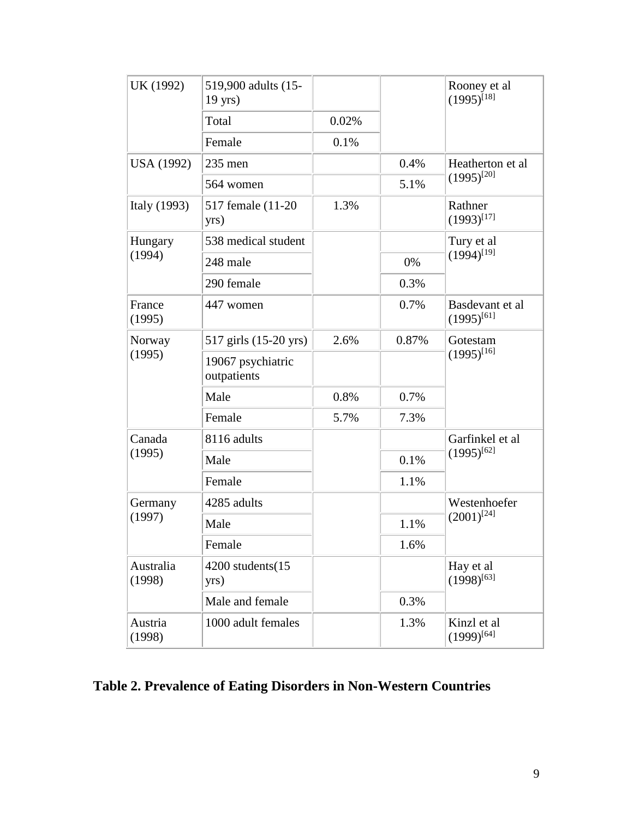| UK (1992)           | 519,900 adults (15-<br>$19$ yrs) |       |       | Rooney et al<br>$(1995)^{[18]}$     |  |
|---------------------|----------------------------------|-------|-------|-------------------------------------|--|
|                     | Total                            | 0.02% |       |                                     |  |
|                     | Female                           | 0.1%  |       |                                     |  |
| USA (1992)          | $235$ men                        |       | 0.4%  | Heatherton et al<br>$(1995)^{[20]}$ |  |
|                     | 564 women                        |       | 5.1%  |                                     |  |
| Italy (1993)        | 517 female (11-20)<br>yrs)       | 1.3%  |       | Rathner<br>$(1993)^{[17]}$          |  |
| Hungary             | 538 medical student              |       |       | Tury et al                          |  |
| (1994)              | 248 male                         |       | 0%    | $(1994)^{[19]}$                     |  |
|                     | 290 female                       |       | 0.3%  |                                     |  |
| France<br>(1995)    | 447 women                        |       | 0.7%  | Basdevant et al<br>$(1995)^{[61]}$  |  |
| Norway              | 517 girls (15-20 yrs)            | 2.6%  | 0.87% | Gotestam                            |  |
| (1995)              | 19067 psychiatric<br>outpatients |       |       | $(1995)^{[16]}$                     |  |
|                     | Male                             | 0.8%  | 0.7%  |                                     |  |
|                     | Female                           | 5.7%  | 7.3%  |                                     |  |
| Canada              | 8116 adults                      |       |       | Garfinkel et al                     |  |
| (1995)              | Male                             |       | 0.1%  | $(1995)^{[62]}$                     |  |
|                     | Female                           |       | 1.1%  |                                     |  |
| Germany             | 4285 adults                      |       |       | Westenhoefer                        |  |
| (1997)              | Male                             |       | 1.1%  | $(2001)^{[24]}$                     |  |
|                     | Female                           |       | 1.6%  |                                     |  |
| Australia<br>(1998) | 4200 students(15<br>yrs)         |       |       | Hay et al<br>$(1998)^{[63]}$        |  |
|                     | Male and female                  |       | 0.3%  |                                     |  |
| Austria<br>(1998)   | 1000 adult females               |       | 1.3%  | Kinzl et al<br>$(1999)^{[64]}$      |  |

# **Table 2. Prevalence of Eating Disorders in Non-Western Countries**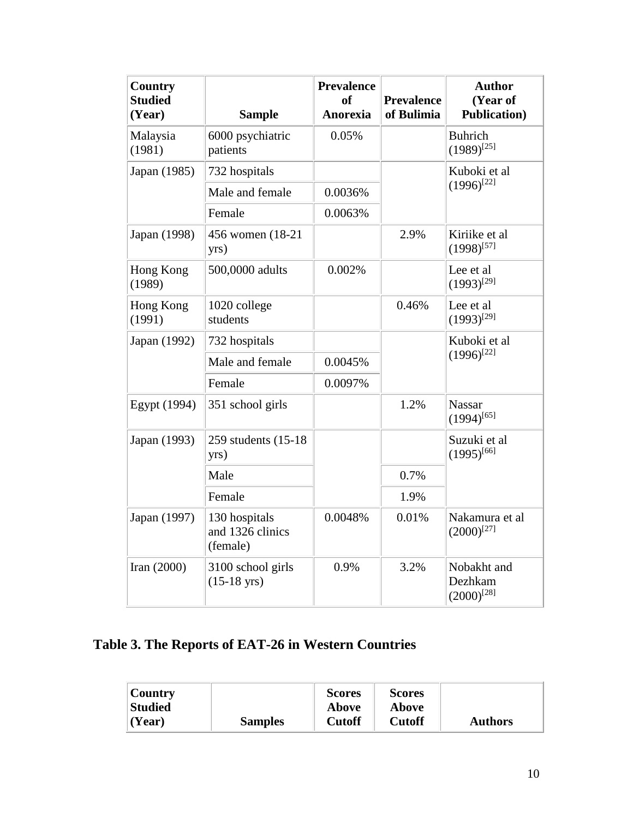| <b>Country</b><br><b>Studied</b><br>(Year) | <b>Sample</b>                                 | <b>Prevalence</b><br>of<br><b>Anorexia</b> | <b>Prevalence</b><br>of Bulimia | <b>Author</b><br>(Year of<br><b>Publication</b> ) |
|--------------------------------------------|-----------------------------------------------|--------------------------------------------|---------------------------------|---------------------------------------------------|
| Malaysia<br>(1981)                         | 6000 psychiatric<br>patients                  | 0.05%                                      |                                 | <b>Buhrich</b><br>$(1989)^{[25]}$                 |
| Japan (1985)                               | 732 hospitals                                 |                                            |                                 | Kuboki et al                                      |
|                                            | Male and female                               | 0.0036%                                    |                                 | $(1996)^{[22]}$                                   |
|                                            | Female                                        | 0.0063%                                    |                                 |                                                   |
| Japan (1998)                               | 456 women (18-21)<br>yrs)                     |                                            | 2.9%                            | Kiriike et al<br>$(1998)^{[57]}$                  |
| Hong Kong<br>(1989)                        | 500,0000 adults                               | 0.002%                                     |                                 | Lee et al<br>$(1993)^{[29]}$                      |
| Hong Kong<br>(1991)                        | 1020 college<br>students                      |                                            | 0.46%                           | Lee et al<br>$(1993)^{[29]}$                      |
| Japan (1992)                               | 732 hospitals                                 |                                            |                                 | Kuboki et al                                      |
|                                            | Male and female                               | 0.0045%                                    |                                 | $(1996)^{[22]}$                                   |
|                                            | Female                                        | 0.0097%                                    |                                 |                                                   |
| Egypt (1994)                               | 351 school girls                              |                                            | 1.2%                            | <b>Nassar</b><br>$(1994)^{[65]}$                  |
| Japan (1993)                               | 259 students (15-18)<br>yrs)                  |                                            |                                 | Suzuki et al<br>$(1995)^{[66]}$                   |
|                                            | Male                                          |                                            | 0.7%                            |                                                   |
|                                            | Female                                        |                                            | 1.9%                            |                                                   |
| Japan (1997)                               | 130 hospitals<br>and 1326 clinics<br>(female) | 0.0048%                                    | 0.01%                           | Nakamura et al<br>$(2000)^{[27]}$                 |
| Iran $(2000)$                              | 3100 school girls<br>$(15-18 \text{ yrs})$    | 0.9%                                       | 3.2%                            | Nobakht and<br>Dezhkam<br>$(2000)^{[28]}$         |

# **Table 3. The Reports of EAT-26 in Western Countries**

| Country        |                | <b>Scores</b> | <b>Scores</b> |                |
|----------------|----------------|---------------|---------------|----------------|
| Studied        |                | <b>Above</b>  | Above         |                |
| $\vert$ (Year) | <b>Samples</b> | <b>Cutoff</b> | Cutoff        | <b>Authors</b> |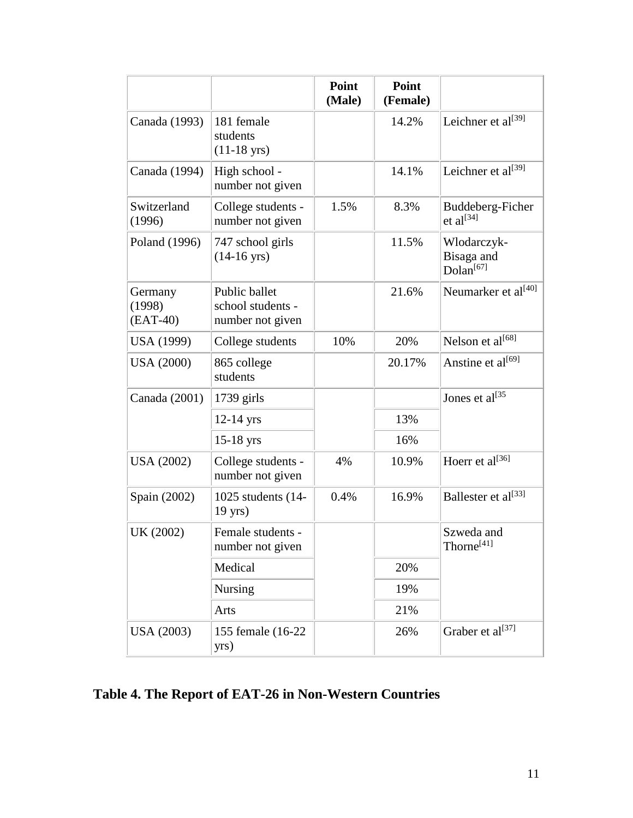|                                 |                                                        | Point<br>(Male) | Point<br>(Female) |                                                    |  |
|---------------------------------|--------------------------------------------------------|-----------------|-------------------|----------------------------------------------------|--|
| Canada (1993)                   | 181 female<br>students<br>$(11-18 \text{ yrs})$        |                 | 14.2%             | Leichner et al <sup>[39]</sup>                     |  |
| Canada (1994)                   | High school -<br>number not given                      |                 | 14.1%             | Leichner et $al^{[39]}$                            |  |
| Switzerland<br>(1996)           | College students -<br>number not given                 | 1.5%            | 8.3%              | Buddeberg-Ficher<br>et al $^{[34]}$                |  |
| Poland (1996)                   | 747 school girls<br>$(14-16 \text{ yrs})$              |                 | 11.5%             | Wlodarczyk-<br>Bisaga and<br>Dolan <sup>[67]</sup> |  |
| Germany<br>(1998)<br>$(EAT-40)$ | Public ballet<br>school students -<br>number not given |                 | 21.6%             | Neumarker et al <sup>[40]</sup>                    |  |
| USA (1999)                      | College students                                       | 10%             | 20%               | Nelson et al <sup>[68]</sup>                       |  |
| <b>USA</b> (2000)               | 865 college<br>students                                |                 | 20.17%            | Anstine et al <sup>[69]</sup>                      |  |
| Canada (2001)                   | $1739$ girls                                           |                 |                   | Jones et al $^{[35]}$                              |  |
|                                 | $12-14$ yrs                                            |                 | 13%               |                                                    |  |
|                                 | $15-18$ yrs                                            |                 | 16%               |                                                    |  |
| <b>USA</b> (2002)               | College students -<br>number not given                 | 4%              | 10.9%             | Hoerr et al <sup>[36]</sup>                        |  |
| Spain (2002)                    | 1025 students (14-<br>$19$ yrs)                        | 0.4%            | 16.9%             | Ballester et al <sup>[33]</sup>                    |  |
| UK (2002)                       | Female students -<br>number not given                  |                 |                   | Szweda and<br>Thorne <sup>[41]</sup>               |  |
|                                 | Medical                                                |                 | 20%               |                                                    |  |
|                                 | Nursing                                                |                 | 19%               |                                                    |  |
|                                 | Arts                                                   |                 | 21%               |                                                    |  |
| <b>USA</b> (2003)               | 155 female (16-22)<br>yrs)                             |                 | 26%               | Graber et al <sup>[37]</sup>                       |  |

**Table 4. The Report of EAT-26 in Non-Western Countries**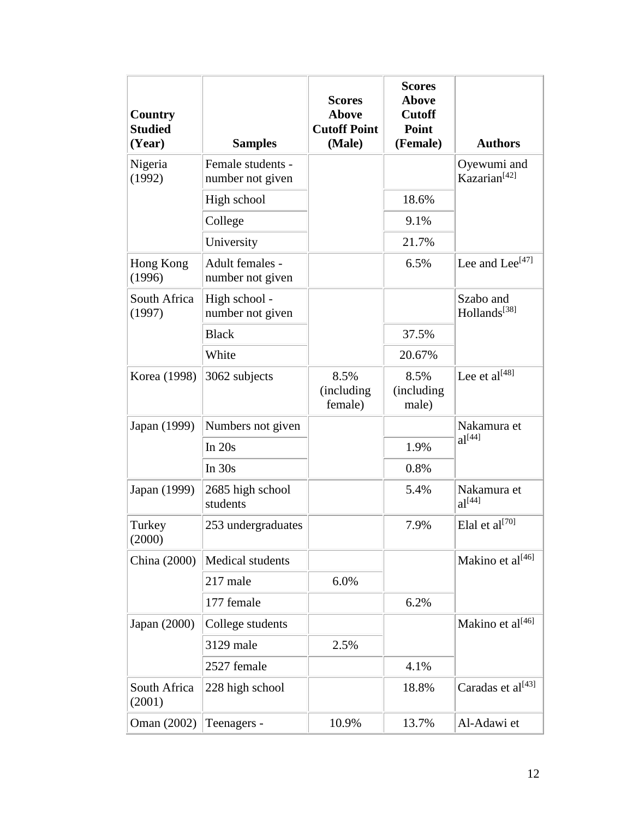| <b>Country</b><br><b>Studied</b><br>(Year) | <b>Samples</b>                        | <b>Scores</b><br><b>Above</b><br><b>Cutoff Point</b><br>(Male) | <b>Scores</b><br><b>Above</b><br><b>Cutoff</b><br>Point<br>(Female) | <b>Authors</b>                          |
|--------------------------------------------|---------------------------------------|----------------------------------------------------------------|---------------------------------------------------------------------|-----------------------------------------|
| Nigeria<br>(1992)                          | Female students -<br>number not given |                                                                |                                                                     | Oyewumi and<br>Kazarian <sup>[42]</sup> |
|                                            | High school                           |                                                                | 18.6%                                                               |                                         |
|                                            | College                               |                                                                | 9.1%                                                                |                                         |
|                                            | University                            |                                                                | 21.7%                                                               |                                         |
| Hong Kong<br>(1996)                        | Adult females -<br>number not given   |                                                                | 6.5%                                                                | Lee and Lee <sup>[47]</sup>             |
| South Africa<br>(1997)                     | High school -<br>number not given     |                                                                |                                                                     | Szabo and<br>Hollands <sup>[38]</sup>   |
|                                            | <b>Black</b>                          |                                                                | 37.5%                                                               |                                         |
|                                            | White                                 |                                                                | 20.67%                                                              |                                         |
| Korea (1998)                               | 3062 subjects                         | 8.5%<br>(including)<br>female)                                 | 8.5%<br>(including)<br>male)                                        | Lee et al $^{[48]}$                     |
| Japan (1999)                               | Numbers not given                     |                                                                |                                                                     | Nakamura et                             |
|                                            | In $20s$                              |                                                                | 1.9%                                                                | $al^{[44]}$                             |
|                                            | In $30s$                              |                                                                | 0.8%                                                                |                                         |
| Japan (1999)                               | 2685 high school<br>students          |                                                                | 5.4%                                                                | Nakamura et<br>$al^{[44]}$              |
| Turkey<br>(2000)                           | 253 undergraduates                    |                                                                | 7.9%                                                                | Elal et $al^{[70]}$                     |
| China (2000)                               | Medical students                      |                                                                |                                                                     | Makino et al[46]                        |
|                                            | 217 male                              | 6.0%                                                           |                                                                     |                                         |
|                                            | 177 female                            |                                                                | 6.2%                                                                |                                         |
| Japan (2000)                               | College students                      |                                                                |                                                                     | Makino et al[46]                        |
|                                            | 3129 male                             | 2.5%                                                           |                                                                     |                                         |
|                                            | 2527 female                           |                                                                | 4.1%                                                                |                                         |
| South Africa<br>(2001)                     | 228 high school                       |                                                                | 18.8%                                                               | Caradas et al <sup>[43]</sup>           |
| Oman (2002)                                | Teenagers -                           | 10.9%                                                          | 13.7%                                                               | Al-Adawi et                             |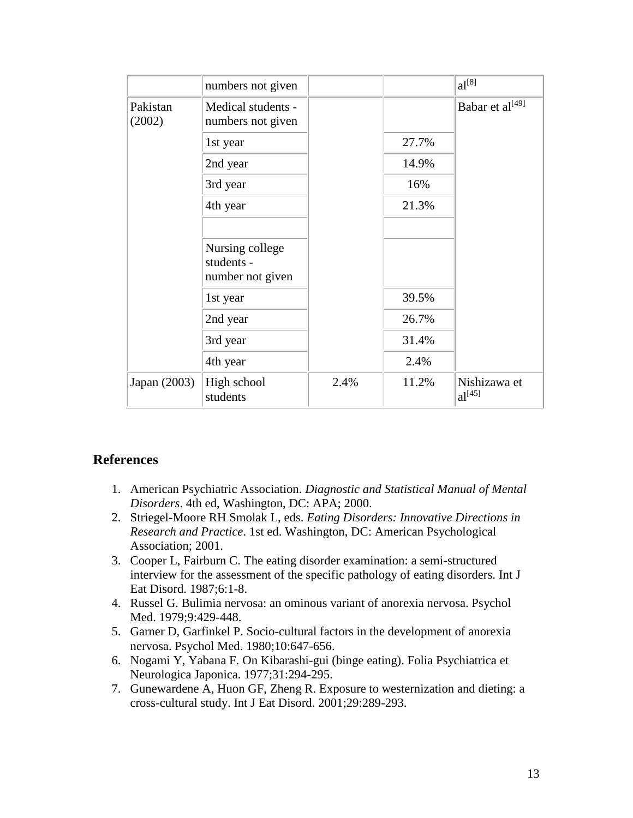|                    | numbers not given                                 |      |       | $al^{[8]}$                  |
|--------------------|---------------------------------------------------|------|-------|-----------------------------|
| Pakistan<br>(2002) | Medical students -<br>numbers not given           |      |       | Babar et al <sup>[49]</sup> |
|                    | 1st year                                          |      | 27.7% |                             |
|                    | 2nd year                                          |      | 14.9% |                             |
|                    | 3rd year                                          |      | 16%   |                             |
|                    | 4th year                                          |      | 21.3% |                             |
|                    |                                                   |      |       |                             |
|                    | Nursing college<br>students -<br>number not given |      |       |                             |
|                    | 1st year                                          |      | 39.5% |                             |
|                    | 2nd year                                          |      | 26.7% |                             |
|                    | 3rd year                                          |      | 31.4% |                             |
|                    | 4th year                                          |      | 2.4%  |                             |
| Japan (2003)       | High school<br>students                           | 2.4% | 11.2% | Nishizawa et<br>$al^{[45]}$ |

## **References**

- 1. American Psychiatric Association. *Diagnostic and Statistical Manual of Mental Disorders*. 4th ed, Washington, DC: APA; 2000.
- 2. Striegel-Moore RH Smolak L, eds. *Eating Disorders: Innovative Directions in Research and Practice*. 1st ed. Washington, DC: American Psychological Association; 2001.
- 3. Cooper L, Fairburn C. The eating disorder examination: a semi-structured interview for the assessment of the specific pathology of eating disorders. Int J Eat Disord. 1987;6:1-8.
- 4. Russel G. Bulimia nervosa: an ominous variant of anorexia nervosa. Psychol Med. 1979;9:429-448.
- 5. Garner D, Garfinkel P. Socio-cultural factors in the development of anorexia nervosa. Psychol Med. 1980;10:647-656.
- 6. Nogami Y, Yabana F. On Kibarashi-gui (binge eating). Folia Psychiatrica et Neurologica Japonica. 1977;31:294-295.
- 7. Gunewardene A, Huon GF, Zheng R. Exposure to westernization and dieting: a cross-cultural study. Int J Eat Disord. 2001;29:289-293.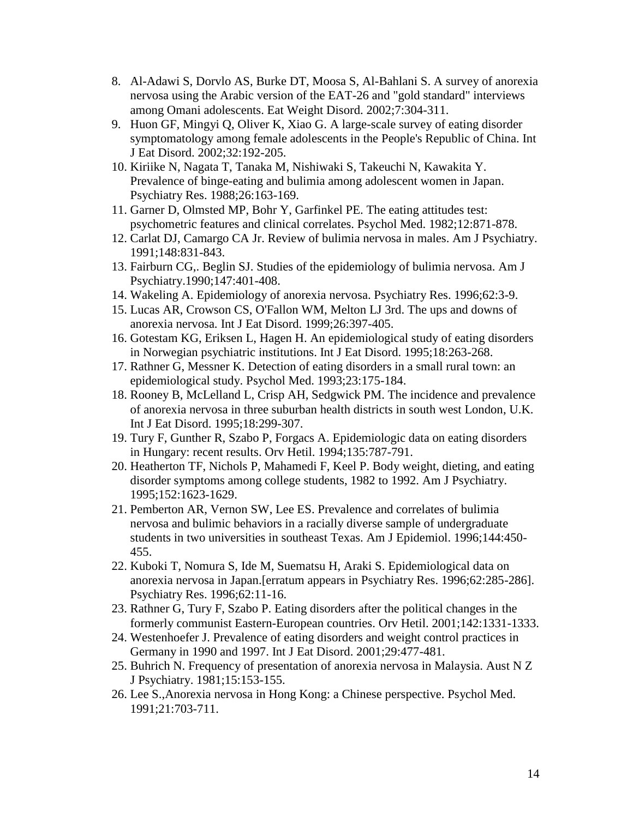- 8. Al-Adawi S, Dorvlo AS, Burke DT, Moosa S, Al-Bahlani S. A survey of anorexia nervosa using the Arabic version of the EAT-26 and "gold standard" interviews among Omani adolescents. Eat Weight Disord. 2002;7:304-311.
- 9. Huon GF, Mingyi Q, Oliver K, Xiao G. A large-scale survey of eating disorder symptomatology among female adolescents in the People's Republic of China. Int J Eat Disord. 2002;32:192-205.
- 10. Kiriike N, Nagata T, Tanaka M, Nishiwaki S, Takeuchi N, Kawakita Y. Prevalence of binge-eating and bulimia among adolescent women in Japan. Psychiatry Res. 1988;26:163-169.
- 11. Garner D, Olmsted MP, Bohr Y, Garfinkel PE. The eating attitudes test: psychometric features and clinical correlates. Psychol Med. 1982;12:871-878.
- 12. Carlat DJ, Camargo CA Jr. Review of bulimia nervosa in males. Am J Psychiatry. 1991;148:831-843.
- 13. Fairburn CG,. Beglin SJ. Studies of the epidemiology of bulimia nervosa. Am J Psychiatry.1990;147:401-408.
- 14. Wakeling A. Epidemiology of anorexia nervosa. Psychiatry Res. 1996;62:3-9.
- 15. Lucas AR, Crowson CS, O'Fallon WM, Melton LJ 3rd. The ups and downs of anorexia nervosa. Int J Eat Disord. 1999;26:397-405.
- 16. Gotestam KG, Eriksen L, Hagen H. An epidemiological study of eating disorders in Norwegian psychiatric institutions. Int J Eat Disord. 1995;18:263-268.
- 17. Rathner G, Messner K. Detection of eating disorders in a small rural town: an epidemiological study. Psychol Med. 1993;23:175-184.
- 18. Rooney B, McLelland L, Crisp AH, Sedgwick PM. The incidence and prevalence of anorexia nervosa in three suburban health districts in south west London, U.K. Int J Eat Disord. 1995;18:299-307.
- 19. Tury F, Gunther R, Szabo P, Forgacs A. Epidemiologic data on eating disorders in Hungary: recent results. Orv Hetil. 1994;135:787-791.
- 20. Heatherton TF, Nichols P, Mahamedi F, Keel P. Body weight, dieting, and eating disorder symptoms among college students, 1982 to 1992. Am J Psychiatry. 1995;152:1623-1629.
- 21. Pemberton AR, Vernon SW, Lee ES. Prevalence and correlates of bulimia nervosa and bulimic behaviors in a racially diverse sample of undergraduate students in two universities in southeast Texas. Am J Epidemiol. 1996;144:450- 455.
- 22. Kuboki T, Nomura S, Ide M, Suematsu H, Araki S. Epidemiological data on anorexia nervosa in Japan.[erratum appears in Psychiatry Res. 1996;62:285-286]. Psychiatry Res. 1996;62:11-16.
- 23. Rathner G, Tury F, Szabo P. Eating disorders after the political changes in the formerly communist Eastern-European countries. Orv Hetil. 2001;142:1331-1333.
- 24. Westenhoefer J. Prevalence of eating disorders and weight control practices in Germany in 1990 and 1997. Int J Eat Disord. 2001;29:477-481.
- 25. Buhrich N. Frequency of presentation of anorexia nervosa in Malaysia. Aust N Z J Psychiatry. 1981;15:153-155.
- 26. Lee S.,Anorexia nervosa in Hong Kong: a Chinese perspective. Psychol Med. 1991;21:703-711.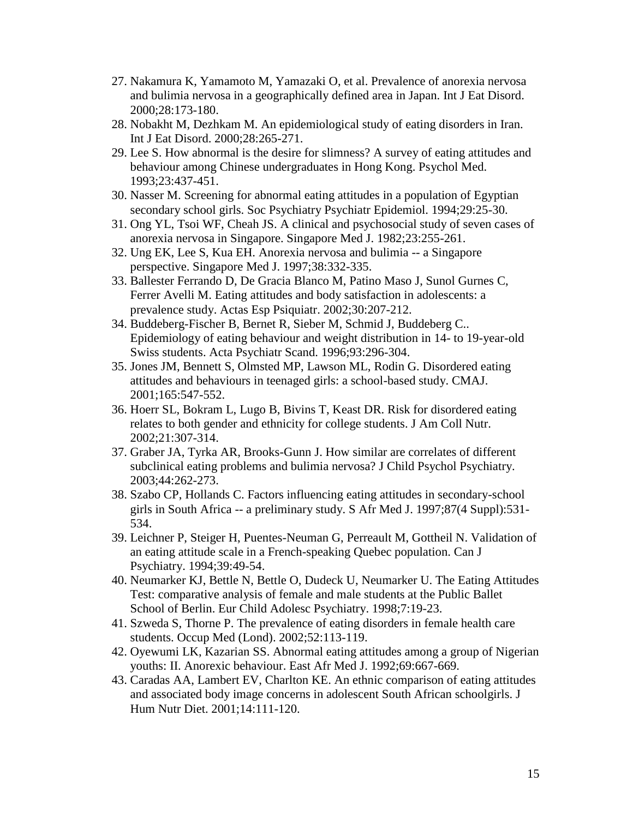- 27. Nakamura K, Yamamoto M, Yamazaki O, et al. Prevalence of anorexia nervosa and bulimia nervosa in a geographically defined area in Japan. Int J Eat Disord. 2000;28:173-180.
- 28. Nobakht M, Dezhkam M. An epidemiological study of eating disorders in Iran. Int J Eat Disord. 2000;28:265-271.
- 29. Lee S. How abnormal is the desire for slimness? A survey of eating attitudes and behaviour among Chinese undergraduates in Hong Kong. Psychol Med. 1993;23:437-451.
- 30. Nasser M. Screening for abnormal eating attitudes in a population of Egyptian secondary school girls. Soc Psychiatry Psychiatr Epidemiol. 1994;29:25-30.
- 31. Ong YL, Tsoi WF, Cheah JS. A clinical and psychosocial study of seven cases of anorexia nervosa in Singapore. Singapore Med J. 1982;23:255-261.
- 32. Ung EK, Lee S, Kua EH. Anorexia nervosa and bulimia -- a Singapore perspective. Singapore Med J. 1997;38:332-335.
- 33. Ballester Ferrando D, De Gracia Blanco M, Patino Maso J, Sunol Gurnes C, Ferrer Avelli M. Eating attitudes and body satisfaction in adolescents: a prevalence study. Actas Esp Psiquiatr. 2002;30:207-212.
- 34. Buddeberg-Fischer B, Bernet R, Sieber M, Schmid J, Buddeberg C.. Epidemiology of eating behaviour and weight distribution in 14- to 19-year-old Swiss students. Acta Psychiatr Scand. 1996;93:296-304.
- 35. Jones JM, Bennett S, Olmsted MP, Lawson ML, Rodin G. Disordered eating attitudes and behaviours in teenaged girls: a school-based study. CMAJ. 2001;165:547-552.
- 36. Hoerr SL, Bokram L, Lugo B, Bivins T, Keast DR. Risk for disordered eating relates to both gender and ethnicity for college students. J Am Coll Nutr. 2002;21:307-314.
- 37. Graber JA, Tyrka AR, Brooks-Gunn J. How similar are correlates of different subclinical eating problems and bulimia nervosa? J Child Psychol Psychiatry. 2003;44:262-273.
- 38. Szabo CP, Hollands C. Factors influencing eating attitudes in secondary-school girls in South Africa -- a preliminary study. S Afr Med J. 1997;87(4 Suppl):531- 534.
- 39. Leichner P, Steiger H, Puentes-Neuman G, Perreault M, Gottheil N. Validation of an eating attitude scale in a French-speaking Quebec population. Can J Psychiatry. 1994;39:49-54.
- 40. Neumarker KJ, Bettle N, Bettle O, Dudeck U, Neumarker U. The Eating Attitudes Test: comparative analysis of female and male students at the Public Ballet School of Berlin. Eur Child Adolesc Psychiatry. 1998;7:19-23.
- 41. Szweda S, Thorne P. The prevalence of eating disorders in female health care students. Occup Med (Lond). 2002;52:113-119.
- 42. Oyewumi LK, Kazarian SS. Abnormal eating attitudes among a group of Nigerian youths: II. Anorexic behaviour. East Afr Med J. 1992;69:667-669.
- 43. Caradas AA, Lambert EV, Charlton KE. An ethnic comparison of eating attitudes and associated body image concerns in adolescent South African schoolgirls. J Hum Nutr Diet. 2001;14:111-120.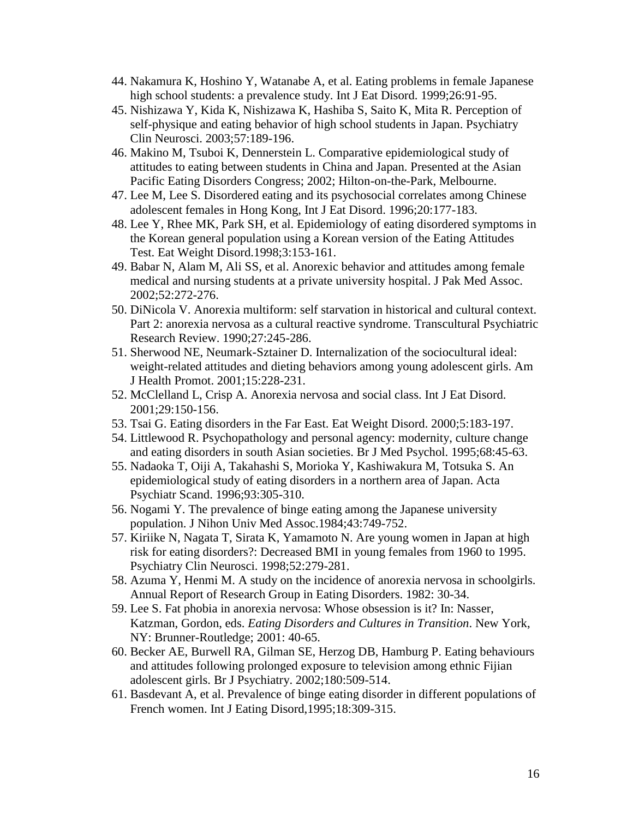- 44. Nakamura K, Hoshino Y, Watanabe A, et al. Eating problems in female Japanese high school students: a prevalence study. Int J Eat Disord. 1999;26:91-95.
- 45. Nishizawa Y, Kida K, Nishizawa K, Hashiba S, Saito K, Mita R. Perception of self-physique and eating behavior of high school students in Japan. Psychiatry Clin Neurosci. 2003;57:189-196.
- 46. Makino M, Tsuboi K, Dennerstein L. Comparative epidemiological study of attitudes to eating between students in China and Japan. Presented at the Asian Pacific Eating Disorders Congress; 2002; Hilton-on-the-Park, Melbourne.
- 47. Lee M, Lee S. Disordered eating and its psychosocial correlates among Chinese adolescent females in Hong Kong, Int J Eat Disord. 1996;20:177-183.
- 48. Lee Y, Rhee MK, Park SH, et al. Epidemiology of eating disordered symptoms in the Korean general population using a Korean version of the Eating Attitudes Test. Eat Weight Disord.1998;3:153-161.
- 49. Babar N, Alam M, Ali SS, et al. Anorexic behavior and attitudes among female medical and nursing students at a private university hospital. J Pak Med Assoc. 2002;52:272-276.
- 50. DiNicola V. Anorexia multiform: self starvation in historical and cultural context. Part 2: anorexia nervosa as a cultural reactive syndrome. Transcultural Psychiatric Research Review. 1990;27:245-286.
- 51. Sherwood NE, Neumark-Sztainer D. Internalization of the sociocultural ideal: weight-related attitudes and dieting behaviors among young adolescent girls. Am J Health Promot. 2001;15:228-231.
- 52. McClelland L, Crisp A. Anorexia nervosa and social class. Int J Eat Disord. 2001;29:150-156.
- 53. Tsai G. Eating disorders in the Far East. Eat Weight Disord. 2000;5:183-197.
- 54. Littlewood R. Psychopathology and personal agency: modernity, culture change and eating disorders in south Asian societies. Br J Med Psychol. 1995;68:45-63.
- 55. Nadaoka T, Oiji A, Takahashi S, Morioka Y, Kashiwakura M, Totsuka S. An epidemiological study of eating disorders in a northern area of Japan. Acta Psychiatr Scand. 1996;93:305-310.
- 56. Nogami Y. The prevalence of binge eating among the Japanese university population. J Nihon Univ Med Assoc.1984;43:749-752.
- 57. Kiriike N, Nagata T, Sirata K, Yamamoto N. Are young women in Japan at high risk for eating disorders?: Decreased BMI in young females from 1960 to 1995. Psychiatry Clin Neurosci. 1998;52:279-281.
- 58. Azuma Y, Henmi M. A study on the incidence of anorexia nervosa in schoolgirls. Annual Report of Research Group in Eating Disorders. 1982: 30-34.
- 59. Lee S. Fat phobia in anorexia nervosa: Whose obsession is it? In: Nasser, Katzman, Gordon, eds. *Eating Disorders and Cultures in Transition*. New York, NY: Brunner-Routledge; 2001: 40-65.
- 60. Becker AE, Burwell RA, Gilman SE, Herzog DB, Hamburg P. Eating behaviours and attitudes following prolonged exposure to television among ethnic Fijian adolescent girls. Br J Psychiatry. 2002;180:509-514.
- 61. Basdevant A, et al. Prevalence of binge eating disorder in different populations of French women. Int J Eating Disord,1995;18:309-315.